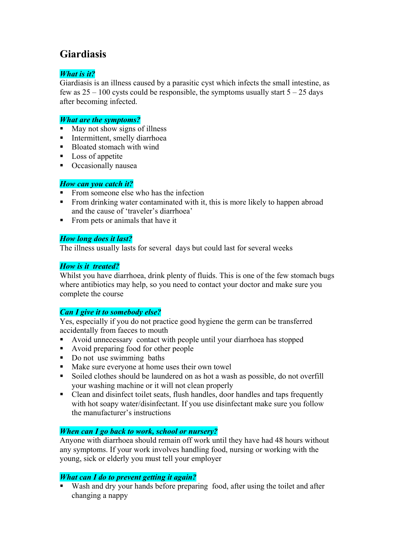# **Giardiasis**

## *What is it?*

Giardiasis is an illness caused by a parasitic cyst which infects the small intestine, as few as  $25 - 100$  cysts could be responsible, the symptoms usually start  $5 - 25$  days after becoming infected.

#### *What are the symptoms?*

- $\blacksquare$  May not show signs of illness
- **Intermittent, smelly diarrhoea**
- Bloated stomach with wind
- **Loss of appetite**
- **•** Occasionally nausea

#### *How can you catch it?*

- From someone else who has the infection
- From drinking water contaminated with it, this is more likely to happen abroad and the cause of 'traveler's diarrhoea'
- **From pets or animals that have it**

### *How long does it last?*

The illness usually lasts for several days but could last for several weeks

### *How is it treated?*

Whilst you have diarrhoea, drink plenty of fluids. This is one of the few stomach bugs where antibiotics may help, so you need to contact your doctor and make sure you complete the course

## *Can I give it to somebody else?*

Yes, especially if you do not practice good hygiene the germ can be transferred accidentally from faeces to mouth

- Avoid unnecessary contact with people until your diarrhoea has stopped
- Avoid preparing food for other people
- Do not use swimming baths
- Make sure everyone at home uses their own towel
- Soiled clothes should be laundered on as hot a wash as possible, do not overfill your washing machine or it will not clean properly
- Clean and disinfect toilet seats, flush handles, door handles and taps frequently with hot soapy water/disinfectant. If you use disinfectant make sure you follow the manufacturer's instructions

### *When can I go back to work, school or nursery?*

Anyone with diarrhoea should remain off work until they have had 48 hours without any symptoms. If your work involves handling food, nursing or working with the young, sick or elderly you must tell your employer

### *What can I do to prevent getting it again?*

Wash and dry your hands before preparing food, after using the toilet and after changing a nappy